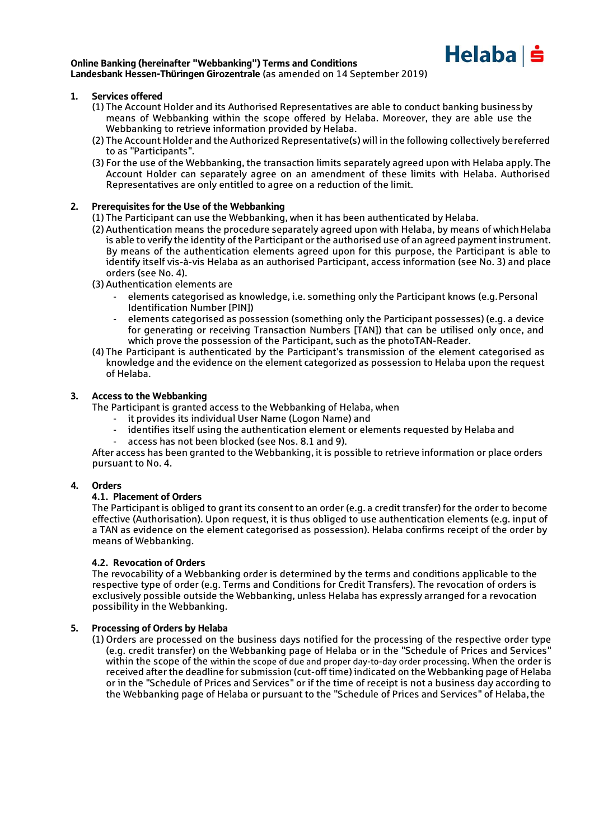

#### Online Banking (hereinafter "Webbanking") Terms and Conditions Landesbank Hessen-Thüringen Girozentrale (as amended on 14 September 2019)

#### 1. Services offered

- (1) The Account Holder and its Authorised Representatives are able to conduct banking businessby means of Webbanking within the scope offered by Helaba. Moreover, they are able use the Webbanking to retrieve information provided by Helaba.
- (2) The Account Holder and the Authorized Representative(s) will in the following collectively bereferred to as "Participants".
- (3) For the use of the Webbanking, the transaction limits separately agreed upon with Helaba apply.The Account Holder can separately agree on an amendment of these limits with Helaba. Authorised Representatives are only entitled to agree on a reduction of the limit.

#### 2. Prerequisites for the Use of the Webbanking

(1) The Participant can use the Webbanking, when it has been authenticated by Helaba.

- (2) Authentication means the procedure separately agreed upon with Helaba, by means of whichHelaba is able to verify the identity of the Participant or the authorised use of an agreed payment instrument. By means of the authentication elements agreed upon for this purpose, the Participant is able to identify itself vis-à-vis Helaba as an authorised Participant, access information (see No. 3) and place orders (see No. 4).
- (3) Authentication elements are
	- elements categorised as knowledge, i.e. something only the Participant knows (e.g. Personal Identification Number [PIN])
	- elements categorised as possession (something only the Participant possesses) (e.g. a device for generating or receiving Transaction Numbers [TAN]) that can be utilised only once, and which prove the possession of the Participant, such as the photoTAN-Reader.
- (4) The Participant is authenticated by the Participant's transmission of the element categorised as knowledge and the evidence on the element categorized as possession to Helaba upon the request of Helaba.

### 3. Access to the Webbanking

The Participant is granted access to the Webbanking of Helaba, when

- it provides its individual User Name (Logon Name) and
- identifies itself using the authentication element or elements requested by Helaba and
- access has not been blocked (see Nos. 8.1 and 9).

After access has been granted to the Webbanking, it is possible to retrieve information or place orders pursuant to No. 4.

#### 4. Orders

#### **4.1.** Placement of Orders

The Participant is obliged to grant its consent to an order (e.g. a credit transfer) for the order to become effective (Authorisation). Upon request, it is thus obliged to use authentication elements (e.g. input of a TAN as evidence on the element categorised as possession). Helaba confirms receipt of the order by means of Webbanking.

#### **4.2.** Revocation of Orders

The revocability of a Webbanking order is determined by the terms and conditions applicable to the respective type of order (e.g. Terms and Conditions for Credit Transfers). The revocation of orders is exclusively possible outside the Webbanking, unless Helaba has expressly arranged for a revocation possibility in the Webbanking.

#### 5. Processing of Orders by Helaba

(1) Orders are processed on the business days notified for the processing of the respective order type (e.g. credit transfer) on the Webbanking page of Helaba or in the "Schedule of Prices and Services" within the scope of the within the scope of due and proper day-to-day order processing. When the order is received after the deadline for submission (cut-off time) indicated on the Webbanking page of Helaba or in the "Schedule of Prices and Services" or if the time of receipt is not a business day according to the Webbanking page of Helaba or pursuant to the "Schedule of Prices and Services" of Helaba,the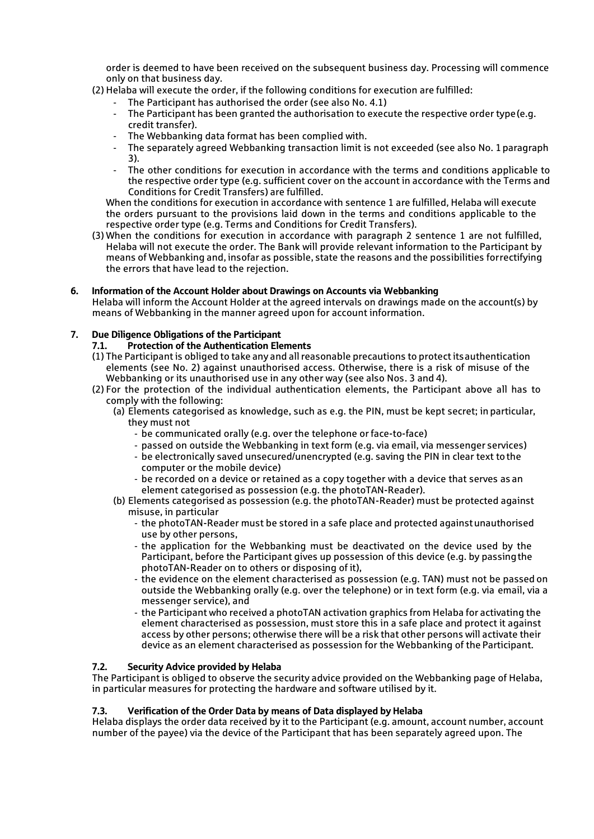order is deemed to have been received on the subsequent business day. Processing will commence only on that business day.

- (2) Helaba will execute the order, if the following conditions for execution are fulfilled:
	- The Participant has authorised the order (see also No. 4.1)
	- The Participant has been granted the authorisation to execute the respective order type (e.g. credit transfer).
	- The Webbanking data format has been complied with.
	- The separately agreed Webbanking transaction limit is not exceeded (see also No. 1paragraph 3).
	- The other conditions for execution in accordance with the terms and conditions applicable to the respective order type (e.g. sufficient cover on the account in accordance with the Terms and Conditions for Credit Transfers) are fulfilled.

When the conditions for execution in accordance with sentence 1 are fulfilled, Helaba will execute the orders pursuant to the provisions laid down in the terms and conditions applicable to the respective order type (e.g. Terms and Conditions for Credit Transfers).

(3) When the conditions for execution in accordance with paragraph 2 sentence 1 are not fulfilled, Helaba will not execute the order. The Bank will provide relevant information to the Participant by means of Webbanking and, insofar as possible, state the reasons and the possibilities forrectifying the errors that have lead to the rejection.

## 6. Information of the Account Holder about Drawings on Accounts via Webbanking

Helaba will inform the Account Holder at the agreed intervals on drawings made on the account(s) by means of Webbanking in the manner agreed upon for account information.

## 7. Due Diligence Obligations of the Participant

- Protection of the Authentication Elements
- (1) The Participant is obliged to take any and all reasonable precautions to protect itsauthentication elements (see No. 2) against unauthorised access. Otherwise, there is a risk of misuse of the Webbanking or its unauthorised use in any other way (see also Nos. 3 and 4).
- (2) For the protection of the individual authentication elements, the Participant above all has to comply with the following:
	- (a) Elements categorised as knowledge, such as e.g. the PIN, must be kept secret; inparticular, they must not
		- be communicated orally (e.g. over the telephone or face-to-face)
		- passed on outside the Webbanking in text form (e.g. via email, via messenger services)
		- be electronically saved unsecured/unencrypted (e.g. saving the PIN in clear text tothe computer or the mobile device)
		- be recorded on a device or retained as a copy together with a device that serves as an element categorised as possession (e.g. the photoTAN-Reader).
	- (b) Elements categorised as possession (e.g. the photoTAN-Reader) must be protected against misuse, in particular
		- the photoTAN-Reader must be stored in a safe place and protected againstunauthorised use by other persons,
		- the application for the Webbanking must be deactivated on the device used by the Participant, before the Participant gives up possession of this device (e.g. by passingthe photoTAN-Reader on to others or disposing of it),
		- the evidence on the element characterised as possession (e.g. TAN) must not be passed on outside the Webbanking orally (e.g. over the telephone) or in text form (e.g. via email, via a messenger service), and
		- the Participant who received a photoTAN activation graphics from Helaba for activating the element characterised as possession, must store this in a safe place and protect it against access by other persons; otherwise there will be a risk that other persons will activate their device as an element characterised as possession for the Webbanking of the Participant.

## 7.2. Security Advice provided by Helaba

The Participant is obliged to observe the security advice provided on the Webbanking page of Helaba, in particular measures for protecting the hardware and software utilised by it.

## 7.3. Verification of the Order Data by means of Data displayed by Helaba

Helaba displays the order data received by it to the Participant (e.g. amount, account number, account number of the payee) via the device of the Participant that has been separately agreed upon. The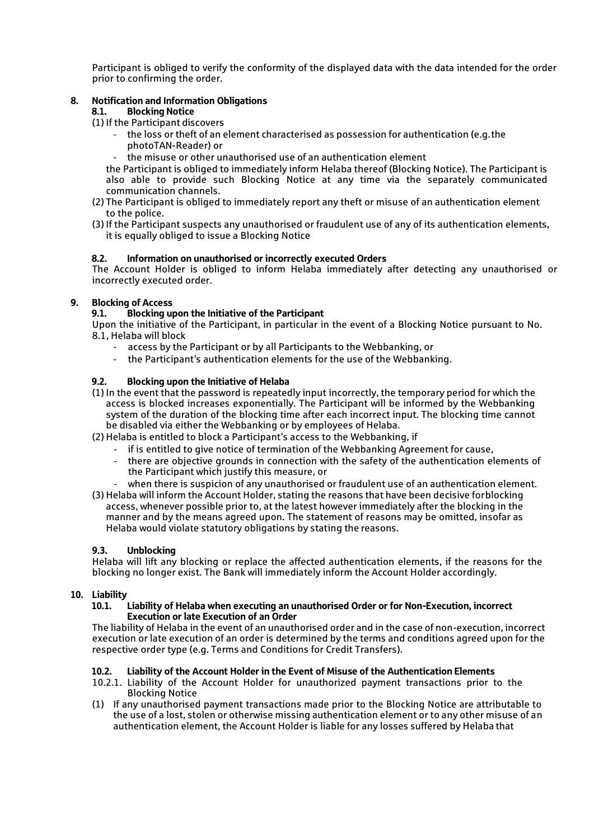Participant is obliged to verify the conformity of the displayed data with the data intended for the order prior to confirming the order.

## 8. Notification and Information Obligations

## 8.1. Blocking Notice

(1) If the Participant discovers

- the loss or theft of an element characterised as possession for authentication (e.g.the photoTAN-Reader) or
- the misuse or other unauthorised use of an authentication element

the Participant is obliged to immediately inform Helaba thereof (Blocking Notice). The Participant is also able to provide such Blocking Notice at any time via the separately communicated communication channels.

- (2) The Participant is obliged to immediately report any theft or misuse of an authentication element to the police.
- (3) If the Participant suspects any unauthorised or fraudulent use of any of its authentication elements, it is equally obliged to issue a Blocking Notice

## 8.2. Information on unauthorised or incorrectly executed Orders

The Account Holder is obliged to inform Helaba immediately after detecting any unauthorised or incorrectly executed order.

## 9. Blocking of Access

## 9.1. Blocking upon the Initiative of the Participant

Upon the initiative of the Participant, in particular in the event of a Blocking Notice pursuant to No. 8.1, Helaba will block

- access by the Participant or by all Participants to the Webbanking, or
- the Participant's authentication elements for the use of the Webbanking.

## 9.2. Blocking upon the Initiative of Helaba

(1) In the event that the password is repeatedly input incorrectly, the temporary period for which the access is blocked increases exponentially. The Participant will be informed by the Webbanking system of the duration of the blocking time after each incorrect input. The blocking time cannot be disabled via either the Webbanking or by employees of Helaba.

- (2) Helaba is entitled to block a Participant's access to the Webbanking, if
	- if is entitled to give notice of termination of the Webbanking Agreement for cause,
	- there are objective grounds in connection with the safety of the authentication elements of the Participant which justify this measure, or
- when there is suspicion of any unauthorised or fraudulent use of an authentication element.
- (3) Helaba will inform the Account Holder, stating the reasons that have been decisive forblocking access, whenever possible prior to, at the latest however immediately after the blocking in the manner and by the means agreed upon. The statement of reasons may be omitted, insofar as Helaba would violate statutory obligations by stating the reasons.

## 9.3. Unblocking

Helaba will lift any blocking or replace the affected authentication elements, if the reasons for the blocking no longer exist. The Bank will immediately inform the Account Holder accordingly.

# 10. Liability

### 10.1. Liability of Helaba when executing an unauthorised Order or for Non-Execution, incorrect Execution or late Execution of an Order

The liability of Helaba in the event of an unauthorised order and in the case of non-execution, incorrect execution or late execution of an order is determined by the terms and conditions agreed upon for the respective order type (e.g. Terms and Conditions for Credit Transfers).

## 10.2. Liability of the Account Holder in the Event of Misuse of the Authentication Elements

- 10.2.1. Liability of the Account Holder for unauthorized payment transactions prior to the Blocking Notice
- (1) If any unauthorised payment transactions made prior to the Blocking Notice are attributable to the use of a lost, stolen or otherwise missing authentication element or to any other misuse of an authentication element, the Account Holder is liable for any losses suffered by Helaba that